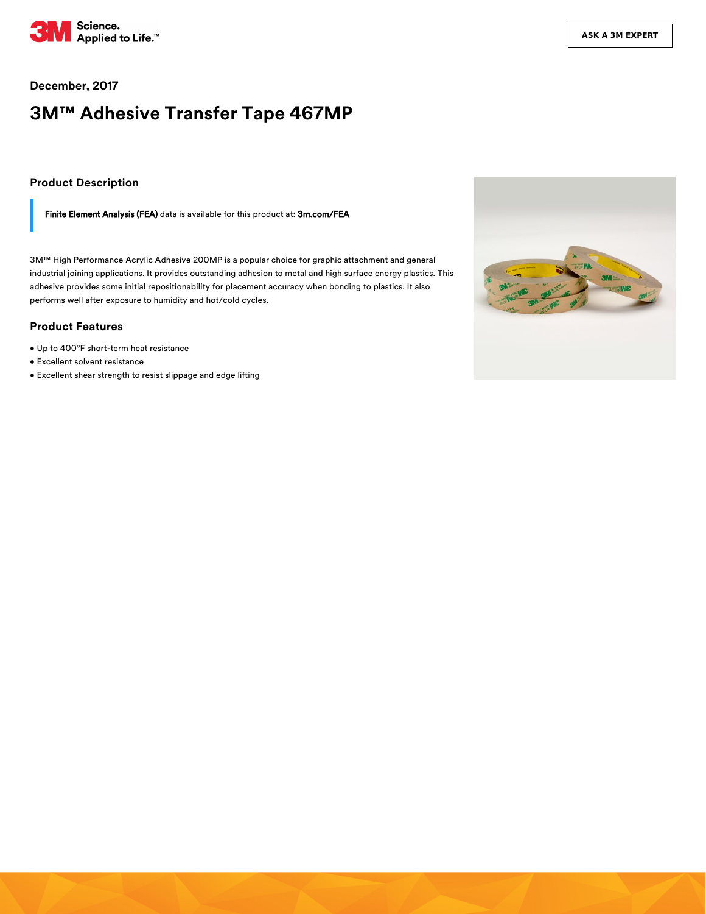

#### **December, 2017**

# **3M™ Adhesive Transfer Tape 467MP**

#### **Product Description**

Finite Element Analysis (FEA) data is available for this product at: [3m.com/FEA](https://www.3m.com/3M/en_US/bonding-and-assembly-us/resources/full-story/~fea-data-for-3m-psas/?storyid=ccd4a185-5e5b-4439-83ec-3ede3443231e)

3M™ High Performance Acrylic Adhesive 200MP is a popular choice for graphic attachment and general industrial joining applications. It provides outstanding adhesion to metal and high surface energy plastics. This adhesive provides some initial repositionability for placement accuracy when bonding to plastics. It also performs well after exposure to humidity and hot/cold cycles.

#### **Product Features**

- Up to 400°F short-term heat resistance
- Excellent solvent resistance
- Excellent shear strength to resist slippage and edge lifting

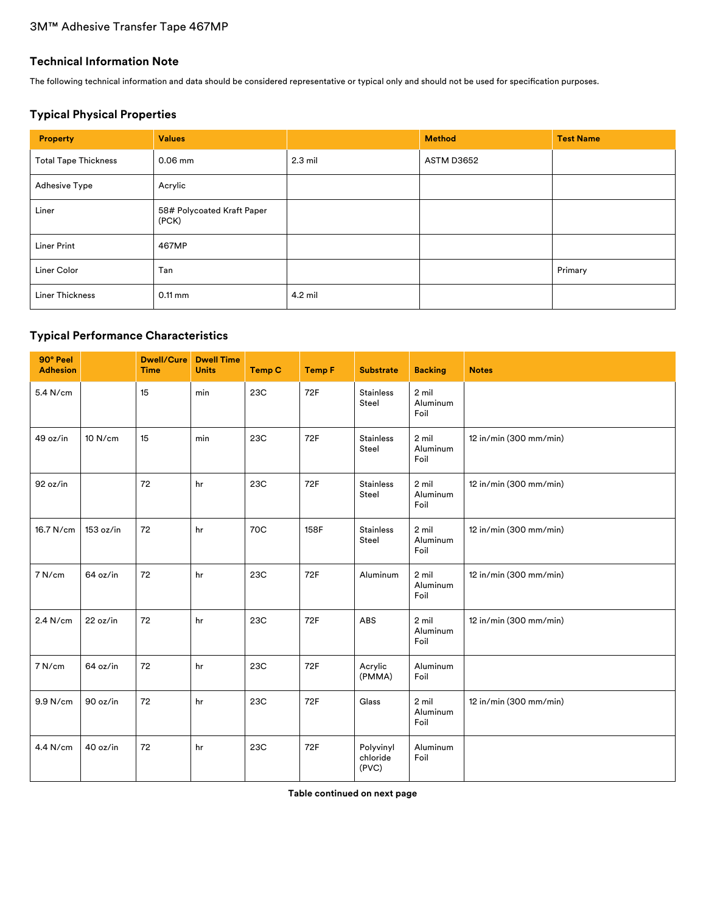### **Technical Information Note**

The following technical information and data should be considered representative or typical only and should not be used for specification purposes.

### **Typical Physical Properties**

| Property                    | <b>Values</b>                       |           | <b>Method</b> | <b>Test Name</b> |
|-----------------------------|-------------------------------------|-----------|---------------|------------------|
| <b>Total Tape Thickness</b> | $0.06$ mm                           | $2.3$ mil | ASTM D3652    |                  |
| <b>Adhesive Type</b>        | Acrylic                             |           |               |                  |
| Liner                       | 58# Polycoated Kraft Paper<br>(PCK) |           |               |                  |
| <b>Liner Print</b>          | 467MP                               |           |               |                  |
| Liner Color                 | Tan                                 |           |               | Primary          |
| <b>Liner Thickness</b>      | $0.11$ mm                           | 4.2 mil   |               |                  |

### **Typical Performance Characteristics**

| 90° Peel<br><b>Adhesion</b> |           | <b>Dwell/Cure</b><br><b>Time</b> | <b>Dwell Time</b><br><b>Units</b> | <b>Temp C</b> | <b>Temp F</b> | <b>Substrate</b>               | <b>Backing</b>              | <b>Notes</b>           |
|-----------------------------|-----------|----------------------------------|-----------------------------------|---------------|---------------|--------------------------------|-----------------------------|------------------------|
| 5.4 N/cm                    |           | 15                               | min                               | 23C           | 72F           | <b>Stainless</b><br>Steel      | 2 mil<br>Aluminum<br>Foil   |                        |
| 49 oz/in                    | 10 N/cm   | 15                               | min                               | 23C           | 72F           | <b>Stainless</b><br>Steel      | $2$ mil<br>Aluminum<br>Foil | 12 in/min (300 mm/min) |
| 92 oz/in                    |           | 72                               | hr                                | 23C           | 72F           | <b>Stainless</b><br>Steel      | 2 mil<br>Aluminum<br>Foil   | 12 in/min (300 mm/min) |
| 16.7 N/cm                   | 153 oz/in | 72                               | hr                                | 70C           | 158F          | <b>Stainless</b><br>Steel      | 2 mil<br>Aluminum<br>Foil   | 12 in/min (300 mm/min) |
| 7 N/cm                      | 64 oz/in  | 72                               | hr                                | 23C           | 72F           | Aluminum                       | $2$ mil<br>Aluminum<br>Foil | 12 in/min (300 mm/min) |
| 2.4 N/cm                    | 22 oz/in  | 72                               | hr                                | 23C           | 72F           | ABS                            | $2$ mil<br>Aluminum<br>Foil | 12 in/min (300 mm/min) |
| 7 N/cm                      | 64 oz/in  | 72                               | hr                                | 23C           | 72F           | Acrylic<br>(PMMA)              | Aluminum<br>Foil            |                        |
| 9.9 N/cm                    | 90 oz/in  | 72                               | hr                                | 23C           | 72F           | Glass                          | $2$ mil<br>Aluminum<br>Foil | 12 in/min (300 mm/min) |
| 4.4 N/cm                    | 40 oz/in  | 72                               | hr                                | 23C           | 72F           | Polyvinyl<br>chloride<br>(PVC) | Aluminum<br>Foil            |                        |

**Table continued on next page**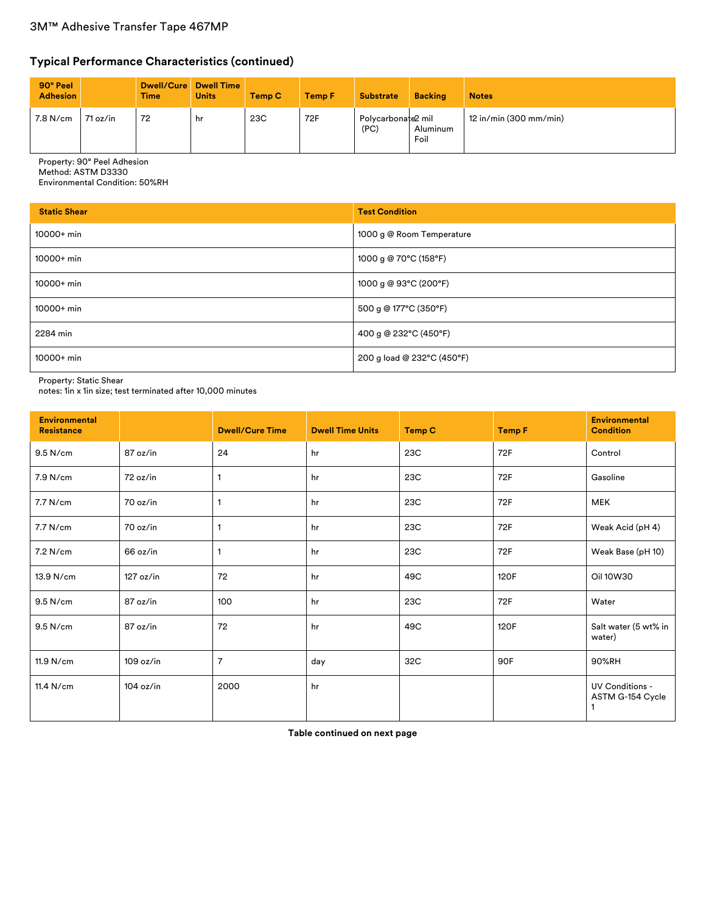## **Typical Performance Characteristics (continued)**

| 90° Peel<br><b>Adhesion</b> |          | <b>Time</b> | Dwell/Cure Dwell Time<br><b>Units</b> | Temp C | <b>Temp F</b> | <b>Substrate</b>           | <b>Backing</b>   | <b>Notes</b>             |
|-----------------------------|----------|-------------|---------------------------------------|--------|---------------|----------------------------|------------------|--------------------------|
| 7.8 N/cm                    | 71 oz/in | 72          | hr                                    | 23C    | 72F           | Polvcarbonate2 mil<br>(PC) | Aluminum<br>Foil | $12$ in/min (300 mm/min) |

Property: 90° Peel Adhesion

Method: ASTM D3330

Environmental Condition: 50%RH

| <b>Static Shear</b> | <b>Test Condition</b>      |
|---------------------|----------------------------|
| $10000+$ min        | 1000 g @ Room Temperature  |
| $10000+$ min        | 1000 g @ 70°C (158°F)      |
| $10000+$ min        | 1000 g @ 93°C (200°F)      |
| $10000+$ min        | 500 g @ 177°C (350°F)      |
| 2284 min            | 400 g @ 232°C (450°F)      |
| $10000+$ min        | 200 g load @ 232°C (450°F) |

Property: Static Shear

notes: 1in x 1in size; test terminated after 10,000 minutes

| <b>Environmental</b><br><b>Resistance</b> |           | <b>Dwell/Cure Time</b> | <b>Dwell Time Units</b> | <b>Temp C</b> | <b>Temp F</b> | <b>Environmental</b><br><b>Condition</b>   |
|-------------------------------------------|-----------|------------------------|-------------------------|---------------|---------------|--------------------------------------------|
| 9.5 N/cm                                  | 87 oz/in  | 24                     | hr                      | 23C           | 72F           | Control                                    |
| 7.9 N/cm                                  | 72 oz/in  | 1                      | hr                      | 23C           | 72F           | Gasoline                                   |
| 7.7 N/cm                                  | 70 oz/in  |                        | hr                      | 23C           | 72F           | <b>MEK</b>                                 |
| 7.7 N/cm                                  | 70 oz/in  | 1                      | hr                      | 23C           | 72F           | Weak Acid (pH 4)                           |
| 7.2 N/cm                                  | 66 oz/in  | 1                      | hr                      | 23C           | 72F           | Weak Base (pH 10)                          |
| 13.9 N/cm                                 | 127 oz/in | 72                     | hr                      | 49C           | 120F          | Oil 10W30                                  |
| 9.5 N/cm                                  | 87 oz/in  | 100                    | hr                      | 23C           | 72F           | Water                                      |
| 9.5 N/cm                                  | 87 oz/in  | 72                     | hr                      | 49C           | 120F          | Salt water (5 wt% in<br>water)             |
| 11.9 N/cm                                 | 109 oz/in | $\overline{7}$         | day                     | 32C           | 90F           | 90%RH                                      |
| 11.4 N/cm                                 | 104 oz/in | 2000                   | hr                      |               |               | <b>UV Conditions -</b><br>ASTM G-154 Cycle |

**Table continued on next page**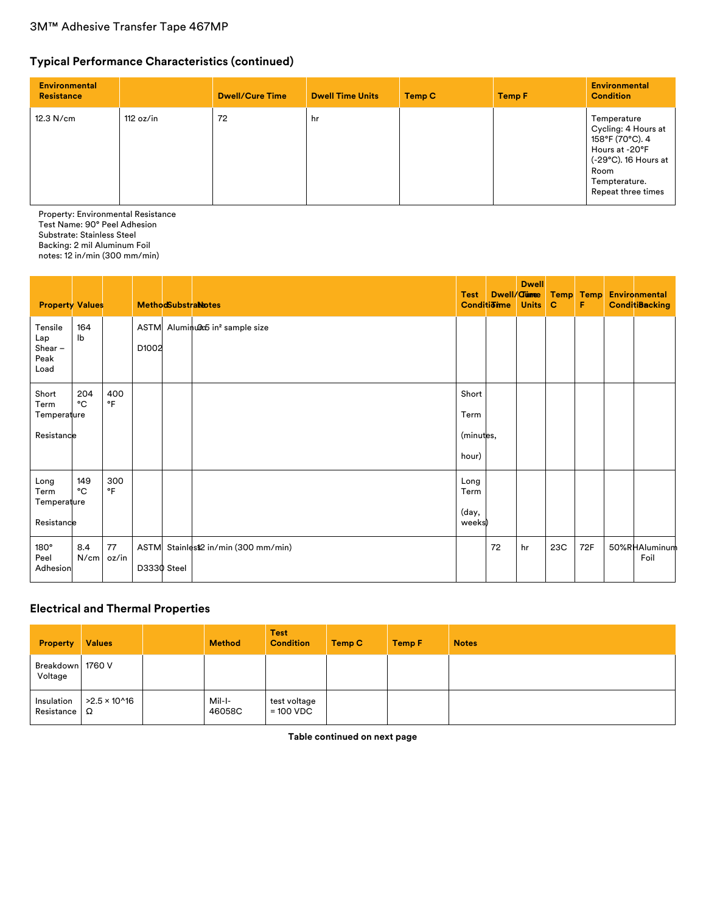# **Typical Performance Characteristics (continued)**

| <b>Environmental</b><br><b>Resistance</b> |           | <b>Dwell/Cure Time</b> | <b>Dwell Time Units</b> | Temp C | <b>Temp F</b> | <b>Environmental</b><br><b>Condition</b>                                                                                                       |
|-------------------------------------------|-----------|------------------------|-------------------------|--------|---------------|------------------------------------------------------------------------------------------------------------------------------------------------|
| 12.3 N/cm                                 | 112 oz/in | 72                     | hr                      |        |               | Temperature<br>Cycling: 4 Hours at<br>158°F (70°C). 4<br>Hours at -20°F<br>(-29°C). 16 Hours at<br>Room<br>Tempterature.<br>Repeat three times |

Property: Environmental Resistance Test Name: 90° Peel Adhesion Substrate: Stainless Steel Backing: 2 mil Aluminum Foil notes: 12 in/min (300 mm/min)

| <b>Property Values</b>                      |                                  |                  |             | <b>MethodSubstraNotes</b>                 | <b>Test</b><br><b>Conditione</b> | Dwell/ <b>Curree</b> | <b>Dwell</b><br><b>Units</b> | <b>Temp</b><br>C | <b>Temp</b><br>F | <b>Environmental</b><br><b>ConditiBacking</b> |
|---------------------------------------------|----------------------------------|------------------|-------------|-------------------------------------------|----------------------------------|----------------------|------------------------------|------------------|------------------|-----------------------------------------------|
| Tensile<br>Lap<br>Shear $-$<br>Peak<br>Load | 164<br>$\mathsf{I}^{\mathsf{b}}$ |                  | D1002       | ASTM Aluminum in <sup>2</sup> sample size |                                  |                      |                              |                  |                  |                                               |
| Short<br>Term<br>Temperature<br>Resistance  | 204<br>°C                        | 400<br>$\circ$ F |             |                                           | Short<br>Term<br>(minutes,       |                      |                              |                  |                  |                                               |
|                                             |                                  |                  |             |                                           | hour)                            |                      |                              |                  |                  |                                               |
| Long<br>Term<br>Temperature<br>Resistance   | 149<br>°C                        | 300<br>°F        |             |                                           | Long<br>Term<br>(day,<br>weeks)  |                      |                              |                  |                  |                                               |
| $180^\circ$<br>Peel<br>Adhesion             | 8.4<br>N/cm                      | 77<br>oz/in      | D3330 Steel | ASTM Stainlest2 in/min (300 mm/min)       |                                  | 72                   | hr                           | 23C              | 72F              | 50%RHAluminum<br>Foil                         |

### **Electrical and Thermal Properties**

| <b>Property</b>                   | <b>Values</b>        | <b>Method</b>    | <b>Test</b><br><b>Condition</b> | Temp C | <b>Temp F</b> | <b>Notes</b> |
|-----------------------------------|----------------------|------------------|---------------------------------|--------|---------------|--------------|
| Breakdown 1760 V<br>Voltage       |                      |                  |                                 |        |               |              |
| Insulation<br>Resistance $\Omega$ | $>2.5 \times 10^{6}$ | Mil-I-<br>46058C | test voltage<br>$= 100 VDC$     |        |               |              |

**Table continued on next page**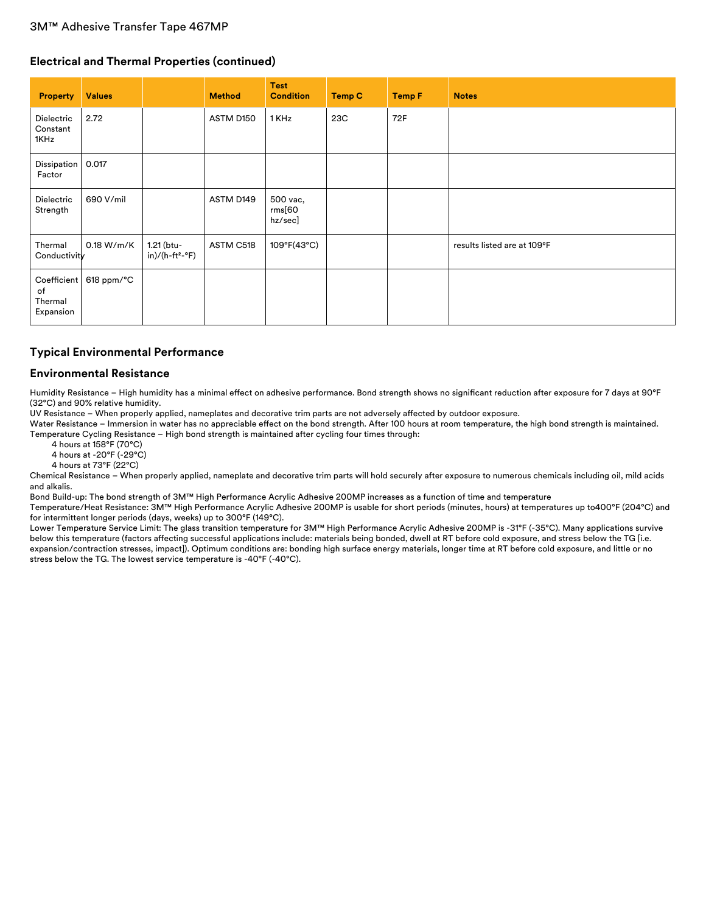#### **Electrical and Thermal Properties (continued)**

| <b>Property</b>                           | <b>Values</b>          |                                           | <b>Method</b> | <b>Test</b><br><b>Condition</b> | <b>Temp C</b> | <b>Temp F</b> | <b>Notes</b>                |
|-------------------------------------------|------------------------|-------------------------------------------|---------------|---------------------------------|---------------|---------------|-----------------------------|
| Dielectric<br>Constant<br>1KHz            | 2.72                   |                                           | ASTM D150     | 1 KHz                           | 23C           | 72F           |                             |
| Dissipation<br>Factor                     | 0.017                  |                                           |               |                                 |               |               |                             |
| Dielectric<br>Strength                    | 690 V/mil              |                                           | ASTM D149     | 500 vac,<br>rms[60]<br>hz/sec]  |               |               |                             |
| Thermal<br>Conductivity                   | 0.18 W/m/K             | 1.21 (btu-<br>in)/(h-ft <sup>2</sup> -°F) | ASTM C518     | 109°F(43°C)                     |               |               | results listed are at 109°F |
| Coefficient<br>of<br>Thermal<br>Expansion | $618$ ppm/ $\degree$ C |                                           |               |                                 |               |               |                             |

### **Typical Environmental Performance**

#### **Environmental Resistance**

Humidity Resistance - High humidity has a minimal effect on adhesive performance. Bond strength shows no significant reduction after exposure for 7 days at 90°F (32°C) and 90% relative humidity.

UV Resistance – When properly applied, nameplates and decorative trim parts are not adversely affected by outdoor exposure.

Water Resistance – Immersion in water has no appreciable effect on the bond strength. After 100 hours at room temperature, the high bond strength is maintained. Temperature Cycling Resistance – High bond strength is maintained after cycling four times through:

4 hours at 158°F (70°C)

4 hours at -20°F (-29°C)

4 hours at 73°F (22°C)

Chemical Resistance – When properly applied, nameplate and decorative trim parts will hold securely after exposure to numerous chemicals including oil, mild acids and alkalis.

Bond Build-up: The bond strength of 3M™ High Performance Acrylic Adhesive 200MP increases as a function of time and temperature

Temperature/Heat Resistance: 3M™ High Performance Acrylic Adhesive 200MP is usable for short periods (minutes, hours) at temperatures up to400°F (204°C) and for intermittent longer periods (days, weeks) up to 300°F (149°C).

Lower Temperature Service Limit: The glass transition temperature for 3M™ High Performance Acrylic Adhesive 200MP is -31°F (-35°C). Many applications survive below this temperature (factors affecting successful applications include: materials being bonded, dwell at RT before cold exposure, and stress below the TG [i.e. expansion/contraction stresses, impact]). Optimum conditions are: bonding high surface energy materials, longer time at RT before cold exposure, and little or no stress below the TG. The lowest service temperature is -40°F (-40°C).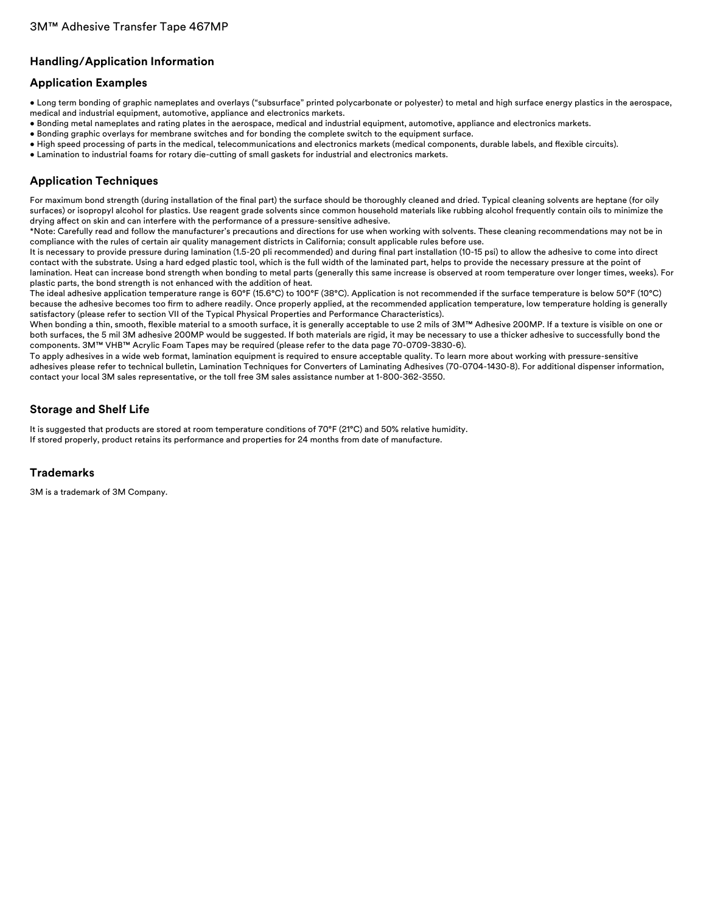### **Handling/Application Information**

### **Application Examples**

- Long term bonding of graphic nameplates and overlays ("subsurface" printed polycarbonate or polyester) to metal and high surface energy plastics in the aerospace, medical and industrial equipment, automotive, appliance and electronics markets.
- Bonding metal nameplates and rating plates in the aerospace, medical and industrial equipment, automotive, appliance and electronics markets.
- Bonding graphic overlays for membrane switches and for bonding the complete switch to the equipment surface.
- High speed processing of parts in the medical, telecommunications and electronics markets (medical components, durable labels, and flexible circuits).
- Lamination to industrial foams for rotary die-cutting of small gaskets for industrial and electronics markets.

### **Application Techniques**

For maximum bond strength (during installation of the final part) the surface should be thoroughly cleaned and dried. Typical cleaning solvents are heptane (for oily surfaces) or isopropyl alcohol for plastics. Use reagent grade solvents since common household materials like rubbing alcohol frequently contain oils to minimize the drying affect on skin and can interfere with the performance of a pressure-sensitive adhesive.

\*Note: Carefully read and follow the manufacturer's precautions and directions for use when working with solvents. These cleaning recommendations may not be in compliance with the rules of certain air quality management districts in California; consult applicable rules before use.

It is necessary to provide pressure during lamination (1.5-20 pli recommended) and during final part installation (10-15 psi) to allow the adhesive to come into direct contact with the substrate. Using a hard edged plastic tool, which is the full width of the laminated part, helps to provide the necessary pressure at the point of lamination. Heat can increase bond strength when bonding to metal parts (generally this same increase is observed at room temperature over longer times, weeks). For plastic parts, the bond strength is not enhanced with the addition of heat.

The ideal adhesive application temperature range is 60°F (15.6°C) to 100°F (38°C). Application is not recommended if the surface temperature is below 50°F (10°C) because the adhesive becomes too firm to adhere readily. Once properly applied, at the recommended application temperature, low temperature holding is generally satisfactory (please refer to section VII of the Typical Physical Properties and Performance Characteristics).

When bonding a thin, smooth, flexible material to a smooth surface, it is generally acceptable to use 2 mils of 3M™ Adhesive 200MP. If a texture is visible on one or both surfaces, the 5 mil 3M adhesive 200MP would be suggested. If both materials are rigid, it may be necessary to use a thicker adhesive to successfully bond the components. 3M™ VHB™ Acrylic Foam Tapes may be required (please refer to the data page 70-0709-3830-6).

To apply adhesives in a wide web format, lamination equipment is required to ensure acceptable quality. To learn more about working with pressure-sensitive adhesives please refer to technical bulletin, Lamination Techniques for Converters of Laminating Adhesives (70-0704-1430-8). For additional dispenser information, contact your local 3M sales representative, or the toll free 3M sales assistance number at 1-800-362-3550.

### **Storage and Shelf Life**

It is suggested that products are stored at room temperature conditions of 70°F (21°C) and 50% relative humidity. If stored properly, product retains its performance and properties for 24 months from date of manufacture.

#### **Trademarks**

3M is a trademark of 3M Company.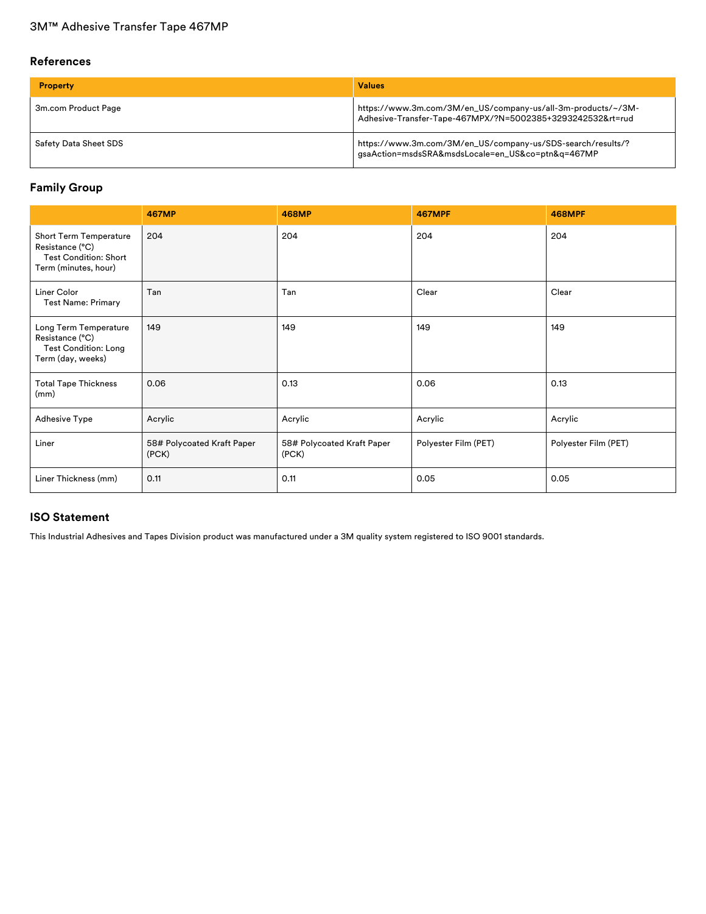#### **References**

| <b>Property</b>       | <b>Values</b>                                                                                                              |
|-----------------------|----------------------------------------------------------------------------------------------------------------------------|
| 3m.com Product Page   | https://www.3m.com/3M/en_US/company-us/all-3m-products/~/3M-<br>Adhesive-Transfer-Tape-467MPX/?N=5002385+3293242532&rt=rud |
| Safety Data Sheet SDS | https://www.3m.com/3M/en_US/company-us/SDS-search/results/?<br>gsaAction=msdsSRA&msdsLocale=en_US&co=ptn&q=467MP           |

### **Family Group**

|                                                                                                   | <b>467MP</b>                        | <b>468MP</b>                        | <b>467MPF</b>        | <b>468MPF</b>        |
|---------------------------------------------------------------------------------------------------|-------------------------------------|-------------------------------------|----------------------|----------------------|
| Short Term Temperature<br>Resistance (°C)<br><b>Test Condition: Short</b><br>Term (minutes, hour) | 204                                 | 204                                 | 204                  | 204                  |
| Liner Color<br><b>Test Name: Primary</b>                                                          | Tan                                 | Tan                                 | Clear                | Clear                |
| Long Term Temperature<br>Resistance (°C)<br><b>Test Condition: Long</b><br>Term (day, weeks)      | 149                                 | 149                                 | 149                  | 149                  |
| <b>Total Tape Thickness</b><br>(mm)                                                               | 0.06                                | 0.13                                | 0.06                 | 0.13                 |
| <b>Adhesive Type</b>                                                                              | Acrylic                             | Acrylic                             | Acrylic              | Acrylic              |
| Liner                                                                                             | 58# Polycoated Kraft Paper<br>(PCK) | 58# Polycoated Kraft Paper<br>(PCK) | Polyester Film (PET) | Polyester Film (PET) |
| Liner Thickness (mm)                                                                              | 0.11                                | 0.11                                | 0.05                 | 0.05                 |

### **ISO Statement**

This Industrial Adhesives and Tapes Division product was manufactured under a 3M quality system registered to ISO 9001 standards.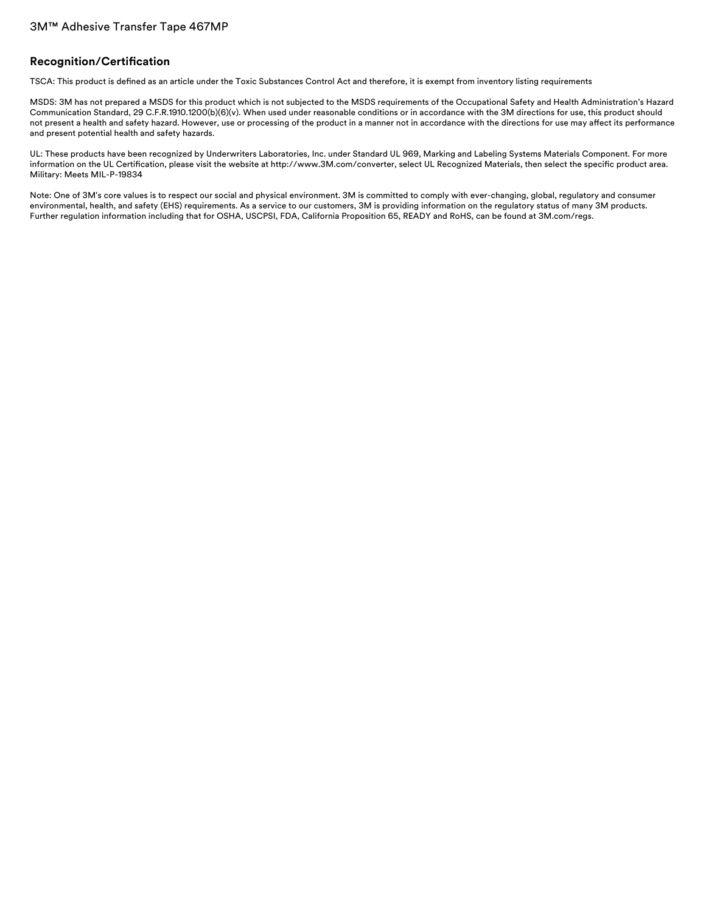#### **Recognition/Certification**

TSCA: This product is defined as an article under the Toxic Substances Control Act and therefore, it is exempt from inventory listing requirements

MSDS: 3M has not prepared a MSDS for this product which is not subjected to the MSDS requirements of the Occupational Safety and Health Administration's Hazard Communication Standard, 29 C.F.R.1910.1200(b)(6)(v). When used under reasonable conditions or in accordance with the 3M directions for use, this product should not present a health and safety hazard. However, use or processing of the product in a manner not in accordance with the directions for use may affect its performance and present potential health and safety hazards.

UL: These products have been recognized by Underwriters Laboratories, Inc. under Standard UL 969, Marking and Labeling Systems Materials Component. For more information on the UL Certification, please visit the website at http://www.3M.com/converter, select UL Recognized Materials, then select the specific product area. Military: Meets MIL-P-19834

Note: One of 3M's core values is to respect our social and physical environment. 3M is committed to comply with ever-changing, global, regulatory and consumer environmental, health, and safety (EHS) requirements. As a service to our customers, 3M is providing information on the regulatory status of many 3M products. Further regulation information including that for OSHA, USCPSI, FDA, California Proposition 65, READY and RoHS, can be found at 3M.com/regs.